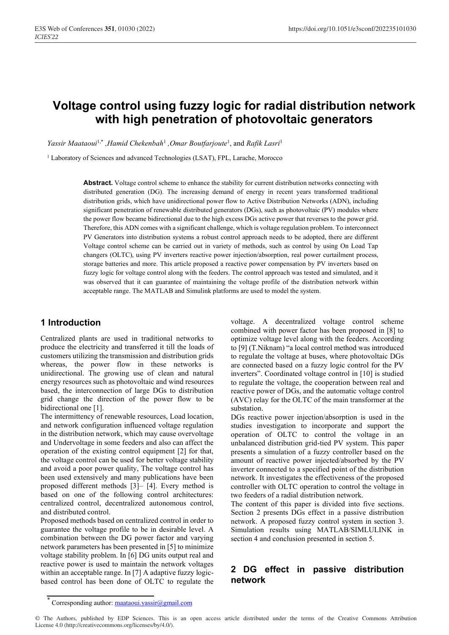# **Voltage control using fuzzy logic for radial distribution network with high penetration of photovoltaic generators**

*Yassir Maataoui*1,\* *,Hamid Chekenbah*<sup>1</sup> *,Omar Boutfarjoute*<sup>1</sup> , and *Rafik Lasri*<sup>1</sup>

<sup>1</sup> Laboratory of Sciences and advanced Technologies (LSAT), FPL, Larache, Morocco

Abstract. Voltage control scheme to enhance the stability for current distribution networks connecting with distributed generation (DG). The increasing demand of energy in recent years transformed traditional distribution grids, which have unidirectional power flow to Active Distribution Networks (ADN), including significant penetration of renewable distributed generators (DGs), such as photovoltaic (PV) modules where the power flow became bidirectional due to the high excess DGs active power that reverses to the power grid. Therefore, this ADN comes with a significant challenge, which is voltage regulation problem. To interconnect PV Generators into distribution systems a robust control approach needs to be adopted, there are different Voltage control scheme can be carried out in variety of methods, such as control by using On Load Tap changers (OLTC), using PV inverters reactive power injection/absorption, real power curtailment process, storage batteries and more. This article proposed a reactive power compensation by PV inverters based on fuzzy logic for voltage control along with the feeders. The control approach was tested and simulated, and it was observed that it can guarantee of maintaining the voltage profile of the distribution network within acceptable range. The MATLAB and Simulink platforms are used to model the system.

# **1 Introduction**

Centralized plants are used in traditional networks to produce the electricity and transferred it till the loads of customers utilizing the transmission and distribution grids whereas, the power flow in these networks is unidirectional. The growing use of clean and natural energy resources such as photovoltaic and wind resources based, the interconnection of large DGs to distribution grid change the direction of the power flow to be bidirectional one [1].

The intermittency of renewable resources, Load location, and network configuration influenced voltage regulation in the distribution network, which may cause overvoltage and Undervoltage in some feeders and also can affect the operation of the existing control equipment [2] for that, the voltage control can be used for better voltage stability and avoid a poor power quality, The voltage control has been used extensively and many publications have been proposed different methods [3]– [4]. Every method is based on one of the following control architectures: centralized control, decentralized autonomous control, and distributed control.

Proposed methods based on centralized control in order to guarantee the voltage profile to be in desirable level. A combination between the DG power factor and varying network parameters has been presented in [5] to minimize voltage stability problem. In [6] DG units output real and reactive power is used to maintain the network voltages within an acceptable range. In [7] A adaptive fuzzy logicbased control has been done of OLTC to regulate the

voltage. A decentralized voltage control scheme combined with power factor has been proposed in [8] to optimize voltage level along with the feeders. According to [9] (T.Niknam) "a local control method was introduced to regulate the voltage at buses, where photovoltaic DGs are connected based on a fuzzy logic control for the PV inverters". Coordinated voltage control in [10] is studied to regulate the voltage, the cooperation between real and reactive power of DGs, and the automatic voltage control (AVC) relay for the OLTC of the main transformer at the substation.

DGs reactive power injection/absorption is used in the studies investigation to incorporate and support the operation of OLTC to control the voltage in an unbalanced distribution grid-tied PV system. This paper presents a simulation of a fuzzy controller based on the amount of reactive power injected/absorbed by the PV inverter connected to a specified point of the distribution network. It investigates the effectiveness of the proposed controller with OLTC operation to control the voltage in two feeders of a radial distribution network.

The content of this paper is divided into five sections. Section 2 presents DGs effect in a passive distribution network. A proposed fuzzy control system in section 3. Simulation results using MATLAB/SIMLULINK in section 4 and conclusion presented in section 5.

## **2 DG effect in passive distribution network**

© The Authors, published by EDP Sciences. This is an open access article distributed under the terms of the Creative Commons Attribution License 4.0 (http://creativecommons.org/licenses/by/4.0/).

Corresponding author: maataoui.yassir $@g$ gmail.com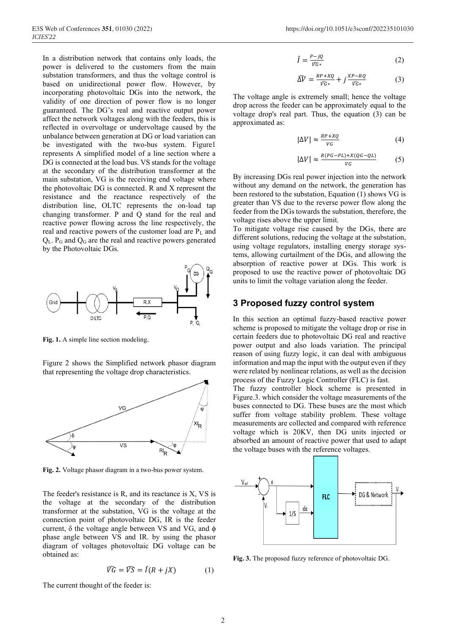In a distribution network that contains only loads, the power is delivered to the customers from the main substation transformers, and thus the voltage control is based on unidirectional power flow. However, by incorporating photovoltaic DGs into the network, the validity of one direction of power flow is no longer guaranteed. The DG's real and reactive output power affect the network voltages along with the feeders, this is reflected in overvoltage or undervoltage caused by the unbalance between generation at DG or load variation can be investigated with the two-bus system. Figure1 represents A simplified model of a line section where a DG is connected at the load bus. VS stands for the voltage at the secondary of the distribution transformer at the main substation, VG is the receiving end voltage where the photovoltaic DG is connected. R and X represent the resistance and the reactance respectively of the distribution line, OLTC represents the on-load tap changing transformer. P and Q stand for the real and reactive power flowing across the line respectively, the real and reactive powers of the customer load are PL and  $Q_L$ .  $P_G$  and  $Q_G$  are the real and reactive powers generated by the Photovoltaic DGs.



**Fig. 1.** A simple line section modeling.

Figure 2 shows the Simplified network phasor diagram that representing the voltage drop characteristics.



**Fig. 2.** Voltage phasor diagram in a two-bus power system.

The feeder's resistance is R, and its reactance is X, VS is the voltage at the secondary of the distribution transformer at the substation, VG is the voltage at the connection point of photovoltaic DG, IR is the feeder current,  $\delta$  the voltage angle between VS and VG, and  $\phi$ phase angle between VS and IR. by using the phasor diagram of voltages photovoltaic DG voltage can be obtained as:

$$
\widehat{VG} = \widehat{VS} = \widehat{I}(R + jX) \tag{1}
$$

 $\hat{I} = \frac{P - jQ}{\hat{V}C}$  $\frac{-y}{\widehat{v}G*}$  (2)

$$
\widehat{\Delta V} = \frac{RP + XQ}{\widehat{V}G*} + j\frac{XP - RQ}{\widehat{V}G*} \tag{3}
$$

The voltage angle is extremely small; hence the voltage drop across the feeder can be approximately equal to the voltage drop's real part. Thus, the equation (3) can be approximated as:

$$
|\Delta V| \approx \frac{RP + XQ}{VG} \tag{4}
$$

$$
|\Delta V| \approx \frac{R(PG - PL) + X(QG - QL)}{VG} \tag{5}
$$

By increasing DGs real power injection into the network without any demand on the network, the generation has been restored to the substation, Equation (1) shows VG is greater than VS due to the reverse power flow along the feeder from the DGs towards the substation, therefore, the voltage rises above the upper limit.

To mitigate voltage rise caused by the DGs, there are different solutions, reducing the voltage at the substation, using voltage regulators, installing energy storage systems, allowing curtailment of the DGs, and allowing the absorption of reactive power at DGs. This work is proposed to use the reactive power of photovoltaic DG units to limit the voltage variation along the feeder.

#### **3 Proposed fuzzy control system**

In this section an optimal fuzzy-based reactive power scheme is proposed to mitigate the voltage drop or rise in certain feeders due to photovoltaic DG real and reactive power output and also loads variation. The principal reason of using fuzzy logic, it can deal with ambiguous information and map the input with the output even if they were related by nonlinear relations, as well as the decision process of the Fuzzy Logic Controller (FLC) is fast.

The fuzzy controller block scheme is presented in Figure.3. which consider the voltage measurements of the buses connected to DG. These buses are the most which suffer from voltage stability problem. These voltage measurements are collected and compared with reference voltage which is 20KV, then DG units injected or absorbed an amount of reactive power that used to adapt the voltage buses with the reference voltages.



**Fig. 3.** The proposed fuzzy reference of photovoltaic DG.

The current thought of the feeder is: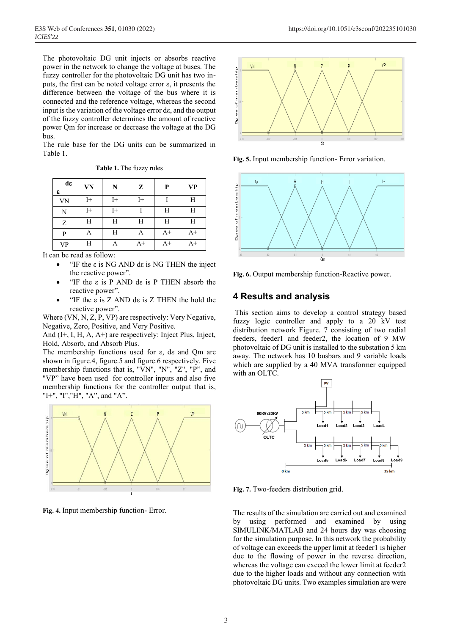The photovoltaic DG unit injects or absorbs reactive power in the network to change the voltage at buses. The fuzzy controller for the photovoltaic DG unit has two inputs, the first can be noted voltage error ε, it presents the difference between the voltage of the bus where it is connected and the reference voltage, whereas the second input is the variation of the voltage error dε, and the output of the fuzzy controller determines the amount of reactive power Qm for increase or decrease the voltage at the DG bus.

The rule base for the DG units can be summarized in Table 1.

| <b>Table 1.</b> The fuzzy rules |  |  |  |  |
|---------------------------------|--|--|--|--|
|---------------------------------|--|--|--|--|

| dε<br>ε   | VN      | N  | Z           | P    | <b>VP</b> |
|-----------|---------|----|-------------|------|-----------|
| <b>VN</b> | $_{I+}$ | I+ | $_{\rm I+}$ |      | Η         |
| N         | I+      | I+ |             | Н    | Н         |
| Ζ         | Н       | Н  | H           | H    | Н         |
| P         | Α       | Н  | Α           | $A+$ | $A+$      |
| <b>VP</b> | Η       | Α  | $A+$        | $A+$ | $A+$      |

It can be read as follow:

- "IF the  $ε$  is NG AND dε is NG THEN the inject the reactive power".
- "IF the ε is P AND dε is P THEN absorb the reactive power".
- "IF the  $ε$  is  $Z$  AND dε is  $Z$  THEN the hold the reactive power".

Where (VN, N, Z, P, VP) are respectively: Very Negative, Negative, Zero, Positive, and Very Positive.

And (I+, I, H, A, A+) are respectively: Inject Plus, Inject, Hold, Absorb, and Absorb Plus.

The membership functions used for ε, dε and Qm are shown in figure.4, figure.5 and figure.6 respectively. Five membership functions that is, "VN", "N", "Z", "P", and "VP" have been used for controller inputs and also five membership functions for the controller output that is, "I+", "I","H", "A", and "A".



**Fig. 4.** Input membership function- Error.



**Fig. 5.** Input membership function- Error variation.



**Fig. 6.** Output membership function-Reactive power.

## **4 Results and analysis**

This section aims to develop a control strategy based fuzzy logic controller and apply to a 20 kV test distribution network Figure. 7 consisting of two radial feeders, feeder1 and feeder2, the location of 9 MW photovoltaic of DG unit is installed to the substation 5 km away. The network has 10 busbars and 9 variable loads which are supplied by a 40 MVA transformer equipped with an OLTC.



**Fig. 7.** Two-feeders distribution grid.

The results of the simulation are carried out and examined by using performed and examined by using SIMULINK/MATLAB and 24 hours day was choosing for the simulation purpose. In this network the probability of voltage can exceeds the upper limit at feeder1 is higher due to the flowing of power in the reverse direction, whereas the voltage can exceed the lower limit at feeder2 due to the higher loads and without any connection with photovoltaic DG units. Two examples simulation are were